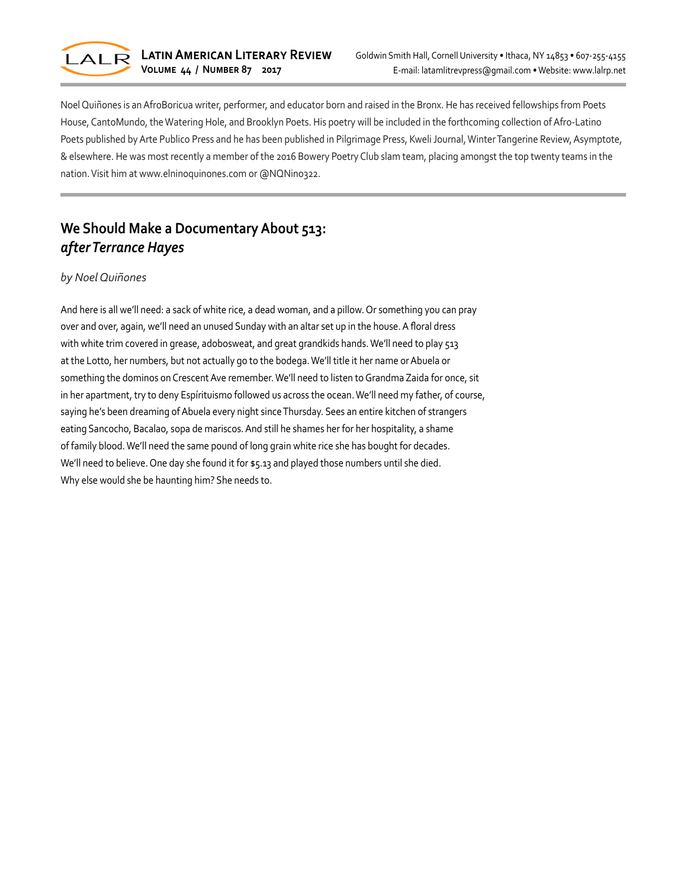

Noel Quiñones is an AfroBoricua writer, performer, and educator born and raised in the Bronx. He has received fellowships from Poets House, CantoMundo, the Watering Hole, and Brooklyn Poets. His poetry will be included in the forthcoming collection of Afro-Latino Poets published by Arte Publico Press and he has been published in Pilgrimage Press, Kweli Journal, Winter Tangerine Review, Asymptote, & elsewhere. He was most recently a member of the 2016 Bowery Poetry Club slam team, placing amongst the top twenty teams in the nation. Visit him at www.elninoquinones.com or @NQNino322.

# **We Should Make a Documentary About 513:** *after Terrance Hayes*

## *by Noel Quiñones*

And here is all we'll need: a sack of white rice, a dead woman, and a pillow. Or something you can pray over and over, again, we'll need an unused Sunday with an altar set up in the house. A floral dress with white trim covered in grease, adobosweat, and great grandkids hands. We'll need to play 513 at the Lotto, her numbers, but not actually go to the bodega. We'll title it her name or Abuela or something the dominos on Crescent Ave remember. We'll need to listen to Grandma Zaida for once, sit in her apartment, try to deny Espírituismo followed us across the ocean. We'll need my father, of course, saying he's been dreaming of Abuela every night since Thursday. Sees an entire kitchen of strangers eating Sancocho, Bacalao, sopa de mariscos. And still he shames her for her hospitality, a shame of family blood. We'll need the same pound of long grain white rice she has bought for decades. We'll need to believe. One day she found it for \$5.13 and played those numbers until she died. Why else would she be haunting him? She needs to.